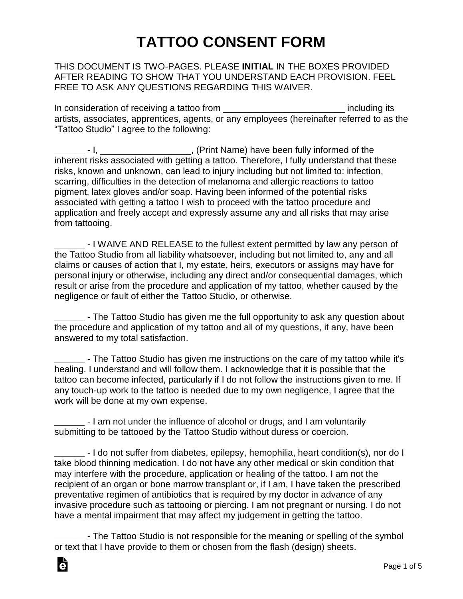## **TATTOO CONSENT FORM**

#### THIS DOCUMENT IS TWO-PAGES. PLEASE **INITIAL** IN THE BOXES PROVIDED AFTER READING TO SHOW THAT YOU UNDERSTAND EACH PROVISION. FEEL FREE TO ASK ANY QUESTIONS REGARDING THIS WAIVER.

In consideration of receiving a tattoo from \_\_\_\_\_\_\_\_\_\_\_\_\_\_\_\_\_\_\_\_\_\_\_\_ including its artists, associates, apprentices, agents, or any employees (hereinafter referred to as the "Tattoo Studio" I agree to the following:

**\_\_\_\_\_\_** - I, \_\_\_\_\_\_\_\_\_\_\_\_\_\_\_\_\_\_, (Print Name) have been fully informed of the inherent risks associated with getting a tattoo. Therefore, I fully understand that these risks, known and unknown, can lead to injury including but not limited to: infection, scarring, difficulties in the detection of melanoma and allergic reactions to tattoo pigment, latex gloves and/or soap. Having been informed of the potential risks associated with getting a tattoo I wish to proceed with the tattoo procedure and application and freely accept and expressly assume any and all risks that may arise from tattooing.

**\_\_\_\_\_\_** - I WAIVE AND RELEASE to the fullest extent permitted by law any person of the Tattoo Studio from all liability whatsoever, including but not limited to, any and all claims or causes of action that I, my estate, heirs, executors or assigns may have for personal injury or otherwise, including any direct and/or consequential damages, which result or arise from the procedure and application of my tattoo, whether caused by the negligence or fault of either the Tattoo Studio, or otherwise.

**\_\_\_\_\_\_** - The Tattoo Studio has given me the full opportunity to ask any question about the procedure and application of my tattoo and all of my questions, if any, have been answered to my total satisfaction.

**\_\_\_\_\_\_** - The Tattoo Studio has given me instructions on the care of my tattoo while it's healing. I understand and will follow them. I acknowledge that it is possible that the tattoo can become infected, particularly if I do not follow the instructions given to me. If any touch-up work to the tattoo is needed due to my own negligence, I agree that the work will be done at my own expense.

**\_\_\_\_\_\_** - I am not under the influence of alcohol or drugs, and I am voluntarily submitting to be tattooed by the Tattoo Studio without duress or coercion.

**\_\_\_\_\_\_** - I do not suffer from diabetes, epilepsy, hemophilia, heart condition(s), nor do I take blood thinning medication. I do not have any other medical or skin condition that may interfere with the procedure, application or healing of the tattoo. I am not the recipient of an organ or bone marrow transplant or, if I am, I have taken the prescribed preventative regimen of antibiotics that is required by my doctor in advance of any invasive procedure such as tattooing or piercing. I am not pregnant or nursing. I do not have a mental impairment that may affect my judgement in getting the tattoo.

**\_\_\_\_\_\_** - The Tattoo Studio is not responsible for the meaning or spelling of the symbol or text that I have provide to them or chosen from the flash (design) sheets.

Ġ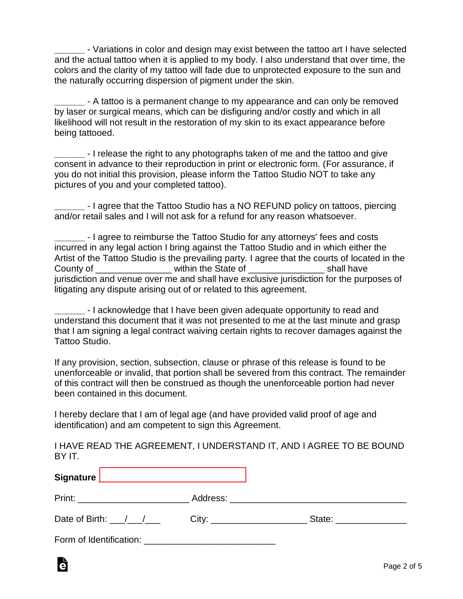**\_\_\_\_\_\_** - Variations in color and design may exist between the tattoo art I have selected and the actual tattoo when it is applied to my body. I also understand that over time, the colors and the clarity of my tattoo will fade due to unprotected exposure to the sun and the naturally occurring dispersion of pigment under the skin.

**\_\_\_\_\_\_** - A tattoo is a permanent change to my appearance and can only be removed by laser or surgical means, which can be disfiguring and/or costly and which in all likelihood will not result in the restoration of my skin to its exact appearance before being tattooed.

**\_\_\_\_\_\_** - I release the right to any photographs taken of me and the tattoo and give consent in advance to their reproduction in print or electronic form. (For assurance, if you do not initial this provision, please inform the Tattoo Studio NOT to take any pictures of you and your completed tattoo).

**\_\_\_\_\_\_** - I agree that the Tattoo Studio has a NO REFUND policy on tattoos, piercing and/or retail sales and I will not ask for a refund for any reason whatsoever.

**\_\_\_\_\_\_** - I agree to reimburse the Tattoo Studio for any attorneys' fees and costs incurred in any legal action I bring against the Tattoo Studio and in which either the Artist of the Tattoo Studio is the prevailing party. I agree that the courts of located in the County of The State of Theorem 2011 and the State of the State of the State of Shall have jurisdiction and venue over me and shall have exclusive jurisdiction for the purposes of litigating any dispute arising out of or related to this agreement.

**\_\_\_\_\_\_** - I acknowledge that I have been given adequate opportunity to read and understand this document that it was not presented to me at the last minute and grasp that I am signing a legal contract waiving certain rights to recover damages against the Tattoo Studio.

If any provision, section, subsection, clause or phrase of this release is found to be unenforceable or invalid, that portion shall be severed from this contract. The remainder of this contract will then be construed as though the unenforceable portion had never been contained in this document.

I hereby declare that I am of legal age (and have provided valid proof of age and identification) and am competent to sign this Agreement.

I HAVE READ THE AGREEMENT, I UNDERSTAND IT, AND I AGREE TO BE BOUND BY IT.

| Signature _______________________________ |                          |
|-------------------------------------------|--------------------------|
| Print: _______________________            |                          |
| Date of Birth: / / / City:                | State: _________________ |
| Form of Identification:                   |                          |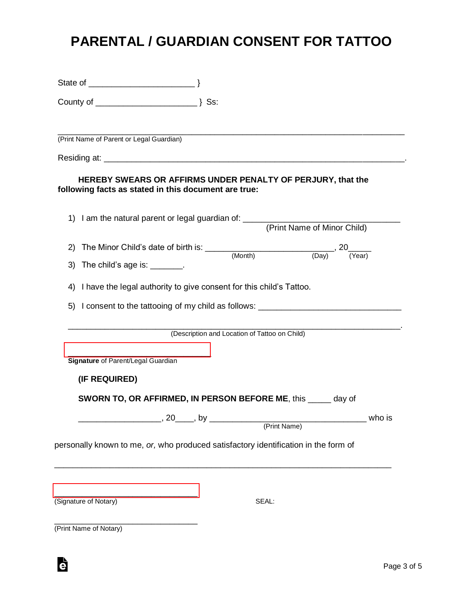#### **PARENTAL / GUARDIAN CONSENT FOR TATTOO**

|    | (Print Name of Parent or Legal Guardian)                                                                            |  |                                               |                             |        |
|----|---------------------------------------------------------------------------------------------------------------------|--|-----------------------------------------------|-----------------------------|--------|
|    |                                                                                                                     |  |                                               |                             |        |
|    | HEREBY SWEARS OR AFFIRMS UNDER PENALTY OF PERJURY, that the<br>following facts as stated in this document are true: |  |                                               |                             |        |
|    | 1) I am the natural parent or legal guardian of: _______________________________                                    |  |                                               | (Print Name of Minor Child) |        |
|    |                                                                                                                     |  |                                               |                             |        |
|    | 3) The child's age is: $\frac{1}{2}$ .                                                                              |  |                                               |                             |        |
|    | 4) I have the legal authority to give consent for this child's Tattoo.                                              |  |                                               |                             |        |
| 5) | I consent to the tattooing of my child as follows: _____________________________                                    |  |                                               |                             |        |
|    |                                                                                                                     |  | (Description and Location of Tattoo on Child) |                             |        |
|    | Signature of Parent/Legal Guardian                                                                                  |  |                                               |                             |        |
|    | (IF REQUIRED)                                                                                                       |  |                                               |                             |        |
|    | <b>SWORN TO, OR AFFIRMED, IN PERSON BEFORE ME, this _____ day of</b>                                                |  |                                               |                             |        |
|    |                                                                                                                     |  |                                               |                             | who is |
|    |                                                                                                                     |  |                                               |                             |        |
|    | personally known to me, or, who produced satisfactory identification in the form of                                 |  |                                               |                             |        |
|    |                                                                                                                     |  |                                               |                             |        |
|    | (Signature of Notary)                                                                                               |  | SEAL:                                         |                             |        |
|    |                                                                                                                     |  |                                               |                             |        |

(Print Name of Notary)

è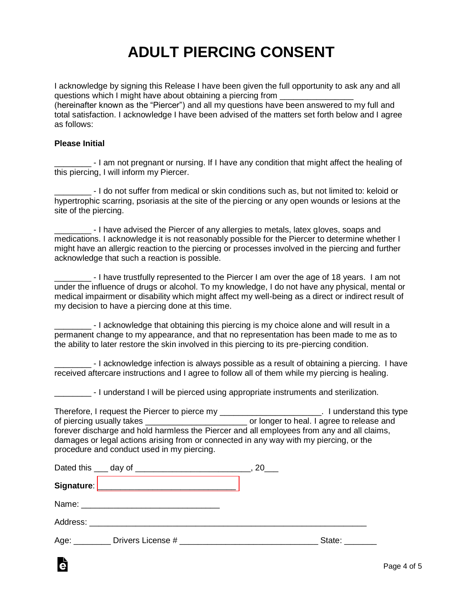# **ADULT PIERCING CONSENT**

I acknowledge by signing this Release I have been given the full opportunity to ask any and all questions which I might have about obtaining a piercing from \_\_\_\_\_\_\_\_\_\_\_\_\_\_\_\_ (hereinafter known as the "Piercer") and all my questions have been answered to my full and total satisfaction. I acknowledge I have been advised of the matters set forth below and I agree as follows:

#### **Please Initial**

Ġ

- I am not pregnant or nursing. If I have any condition that might affect the healing of this piercing, I will inform my Piercer.

\_\_\_\_\_\_\_\_ - I do not suffer from medical or skin conditions such as, but not limited to: keloid or hypertrophic scarring, psoriasis at the site of the piercing or any open wounds or lesions at the site of the piercing.

\_\_\_\_\_\_\_\_ - I have advised the Piercer of any allergies to metals, latex gloves, soaps and medications. I acknowledge it is not reasonably possible for the Piercer to determine whether I might have an allergic reaction to the piercing or processes involved in the piercing and further acknowledge that such a reaction is possible.

\_\_\_\_\_\_\_\_ - I have trustfully represented to the Piercer I am over the age of 18 years. I am not under the influence of drugs or alcohol. To my knowledge, I do not have any physical, mental or medical impairment or disability which might affect my well-being as a direct or indirect result of my decision to have a piercing done at this time.

\_\_\_\_\_\_\_\_ - I acknowledge that obtaining this piercing is my choice alone and will result in a permanent change to my appearance, and that no representation has been made to me as to the ability to later restore the skin involved in this piercing to its pre-piercing condition.

\_\_\_\_\_\_\_\_ - I acknowledge infection is always possible as a result of obtaining a piercing. I have received aftercare instructions and I agree to follow all of them while my piercing is healing.

\_\_\_\_\_\_\_\_ - I understand I will be pierced using appropriate instruments and sterilization.

Therefore, I request the Piercer to pierce my \_\_\_\_\_\_\_\_\_\_\_\_\_\_\_\_\_\_\_\_\_\_\_\_. I understand this type of piercing usually takes **of piercing usually takes or longer to heal. I agree to release and** forever discharge and hold harmless the Piercer and all employees from any and all claims, damages or legal actions arising from or connected in any way with my piercing, or the procedure and conduct used in my piercing.

|  | 20 |               |
|--|----|---------------|
|  |    |               |
|  |    |               |
|  |    |               |
|  |    | State: State: |